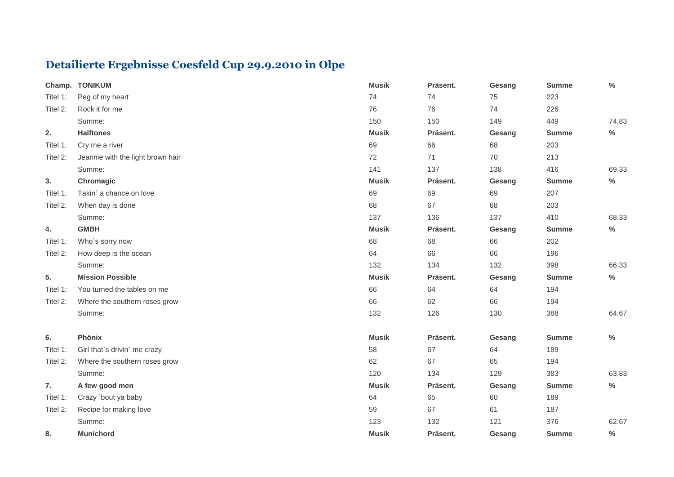## **Detailierte Ergebnisse Coesfeld Cup 29.9.2010 in Olpe**

| Champ.   | <b>TONIKUM</b>                    | <b>Musik</b> | Präsent. | Gesang | <b>Summe</b> | $\%$          |
|----------|-----------------------------------|--------------|----------|--------|--------------|---------------|
| Titel 1: | Peg of my heart                   | 74           | 74       | 75     | 223          |               |
| Titel 2: | Rock it for me                    | 76           | 76       | 74     | 226          |               |
|          | Summe:                            | 150          | 150      | 149    | 449          | 74,83         |
| 2.       | <b>Halftones</b>                  | <b>Musik</b> | Präsent. | Gesang | <b>Summe</b> | $\%$          |
| Titel 1: | Cry me a river                    | 69           | 66       | 68     | 203          |               |
| Titel 2: | Jeannie with the light brown hair | 72           | 71       | 70     | 213          |               |
|          | Summe:                            | 141          | 137      | 138    | 416          | 69,33         |
| 3.       | Chromagic                         | <b>Musik</b> | Präsent. | Gesang | <b>Summe</b> | $\%$          |
| Titel 1: | Takin' a chance on love           | 69           | 69       | 69     | 207          |               |
| Titel 2: | When day is done                  | 68           | 67       | 68     | 203          |               |
|          | Summe:                            | 137          | 136      | 137    | 410          | 68,33         |
| 4.       | <b>GMBH</b>                       | <b>Musik</b> | Präsent. | Gesang | <b>Summe</b> | $\%$          |
| Titel 1: | Who's sorry now                   | 68           | 68       | 66     | 202          |               |
| Titel 2: | How deep is the ocean             | 64           | 66       | 66     | 196          |               |
|          | Summe:                            | 132          | 134      | 132    | 398          | 66,33         |
| 5.       | <b>Mission Possible</b>           | <b>Musik</b> | Präsent. | Gesang | <b>Summe</b> | $\frac{0}{0}$ |
| Titel 1: | You turned the tables on me       | 66           | 64       | 64     | 194          |               |
| Titel 2: | Where the southern roses grow     | 66           | 62       | 66     | 194          |               |
|          | Summe:                            | 132          | 126      | 130    | 388          | 64,67         |
| 6.       | Phönix                            | <b>Musik</b> | Präsent. | Gesang | <b>Summe</b> | $\%$          |
| Titel 1: | Girl that's drivin' me crazy      | 58           | 67       | 64     | 189          |               |
| Titel 2: | Where the southern roses grow     | 62           | 67       | 65     | 194          |               |
|          | Summe:                            | 120          | 134      | 129    | 383          | 63,83         |
| 7.       | A few good men                    | <b>Musik</b> | Präsent. | Gesang | <b>Summe</b> | $\%$          |
| Titel 1: | Crazy 'bout ya baby               | 64           | 65       | 60     | 189          |               |
| Titel 2: | Recipe for making love            | 59           | 67       | 61     | 187          |               |
|          | Summe:                            | 123          | 132      | 121    | 376          | 62,67         |
| 8.       | <b>Munichord</b>                  | <b>Musik</b> | Präsent. | Gesang | <b>Summe</b> | $\%$          |